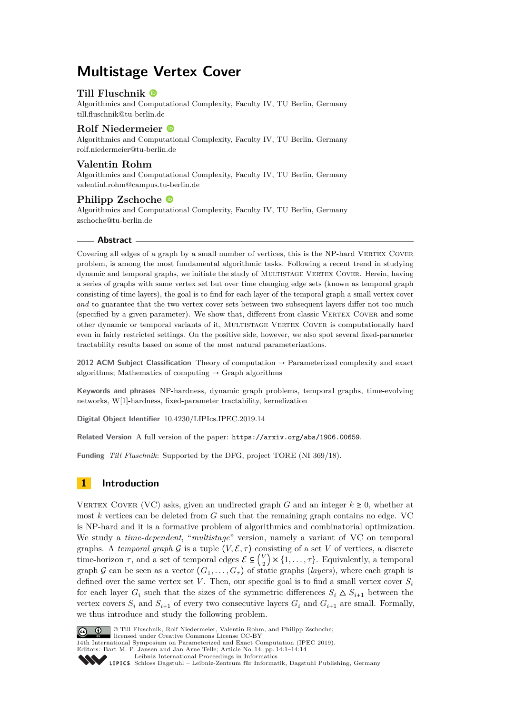# **Multistage Vertex Cover**

### **Till Fluschnik**

Algorithmics and Computational Complexity, Faculty IV, TU Berlin, Germany [till.fluschnik@tu-berlin.de](mailto:till.fluschnik@tu-berlin.de)

### **Rolf Niedermeier**

Algorithmics and Computational Complexity, Faculty IV, TU Berlin, Germany [rolf.niedermeier@tu-berlin.de](mailto:rolf.niedermeier@tu-berlin.de)

### **Valentin Rohm**

Algorithmics and Computational Complexity, Faculty IV, TU Berlin, Germany [valentinl.rohm@campus.tu-berlin.de](mailto:valentinl.rohm@campus.tu-berlin.de)

### **Philipp Zschoche**

Algorithmics and Computational Complexity, Faculty IV, TU Berlin, Germany [zschoche@tu-berlin.de](mailto:zschoche@tu-berlin.de)

### **Abstract**

Covering all edges of a graph by a small number of vertices, this is the NP-hard VERTEX COVER problem, is among the most fundamental algorithmic tasks. Following a recent trend in studying dynamic and temporal graphs, we initiate the study of MULTISTAGE VERTEX COVER. Herein, having a series of graphs with same vertex set but over time changing edge sets (known as temporal graph consisting of time layers), the goal is to find for each layer of the temporal graph a small vertex cover *and* to guarantee that the two vertex cover sets between two subsequent layers differ not too much (specified by a given parameter). We show that, different from classic VERTEX COVER and some other dynamic or temporal variants of it, Multistage Vertex Cover is computationally hard even in fairly restricted settings. On the positive side, however, we also spot several fixed-parameter tractability results based on some of the most natural parameterizations.

**2012 ACM Subject Classification** Theory of computation → Parameterized complexity and exact algorithms; Mathematics of computing  $\rightarrow$  Graph algorithms

**Keywords and phrases** NP-hardness, dynamic graph problems, temporal graphs, time-evolving networks, W[1]-hardness, fixed-parameter tractability, kernelization

**Digital Object Identifier** [10.4230/LIPIcs.IPEC.2019.14](https://doi.org/10.4230/LIPIcs.IPEC.2019.14)

**Related Version** A full version of the paper: <https://arxiv.org/abs/1906.00659>.

**Funding** *Till Fluschnik*: Supported by the DFG, project TORE (NI 369/18).

### **1 Introduction**

VERTEX COVER (VC) asks, given an undirected graph *G* and an integer  $k \ge 0$ , whether at most *k* vertices can be deleted from *G* such that the remaining graph contains no edge. VC is NP-hard and it is a formative problem of algorithmics and combinatorial optimization. We study a *time-dependent*, "*multistage*" version, namely a variant of VC on temporal graphs. A *temporal graph* G is a tuple  $(V, \mathcal{E}, \tau)$  consisting of a set V of vertices, a discrete time-horizon  $\tau$ , and a set of temporal edges  $\mathcal{E} \subseteq \binom{V}{\tau}$  $\binom{V}{2}$  × {1, . . . ,  $\tau$ }. Equivalently, a temporal graph G can be seen as a vector  $(G_1, \ldots, G_\tau)$  of static graphs (*layers*), where each graph is defined over the same vertex set V. Then, our specific goal is to find a small vertex cover  $S_i$ for each layer  $G_i$  such that the sizes of the symmetric differences  $S_i \Delta S_{i+1}$  between the vertex covers  $S_i$  and  $S_{i+1}$  of every two consecutive layers  $G_i$  and  $G_{i+1}$  are small. Formally, we thus introduce and study the following problem.



**C U**  $\circ$  Till Fluschnik, Rolf Niedermeier, Valentin Rohm, and Philipp Zschoche; licensed under Creative Commons License CC-BY

14th International Symposium on Parameterized and Exact Computation (IPEC 2019). Editors: Bart M. P. Jansen and Jan Arne Telle; Article No. 14; pp. 14:1–14[:14](#page-13-0)

[Leibniz International Proceedings in Informatics](https://www.dagstuhl.de/lipics/)

Leibniz international Floretungs in missimosische Publishing, Germany<br>LIPICS [Schloss Dagstuhl – Leibniz-Zentrum für Informatik, Dagstuhl Publishing, Germany](https://www.dagstuhl.de)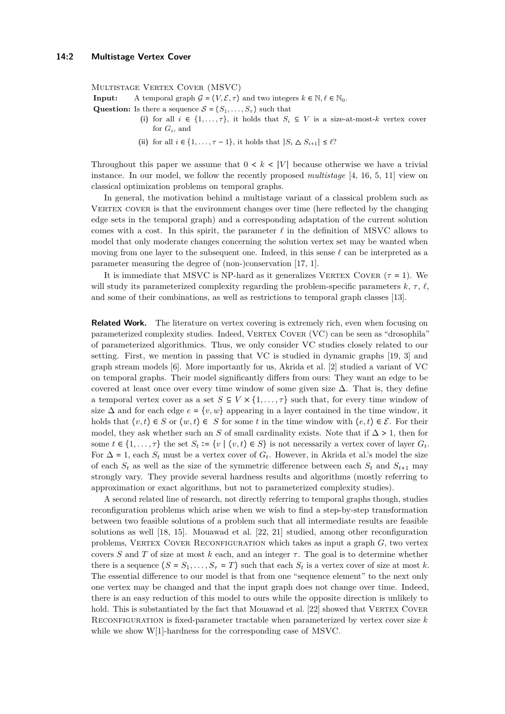MULTISTAGE VERTEX COVER (MSVC)

**Input:** A temporal graph  $G = (V, \mathcal{E}, \tau)$  and two integers  $k \in \mathbb{N}, \ell \in \mathbb{N}_0$ .

**Question:** Is there a sequence  $S = (S_1, \ldots, S_r)$  such that

- (i) for all  $i \in \{1, \ldots, \tau\}$ , it holds that  $S_i \subseteq V$  is a size-at-most-*k* vertex cover for *G<sup>i</sup>* , and
- (ii) for all  $i \in \{1, \ldots, \tau 1\}$ , it holds that  $|S_i \Delta S_{i+1}| \leq \ell$ ?

Throughout this paper we assume that  $0 \lt k \lt |V|$  because otherwise we have a trivial instance. In our model, we follow the recently proposed *multistage* [\[4,](#page-13-1) [16,](#page-13-2) [5,](#page-13-3) [11\]](#page-13-4) view on classical optimization problems on temporal graphs.

In general, the motivation behind a multistage variant of a classical problem such as VERTEX COVER is that the environment changes over time (here reflected by the changing edge sets in the temporal graph) and a corresponding adaptation of the current solution comes with a cost. In this spirit, the parameter  $\ell$  in the definition of MSVC allows to model that only moderate changes concerning the solution vertex set may be wanted when moving from one layer to the subsequent one. Indeed, in this sense  $\ell$  can be interpreted as a parameter measuring the degree of (non-)conservation [\[17,](#page-13-5) [1\]](#page-12-0).

It is immediate that MSVC is NP-hard as it generalizes VERTEX COVER  $(\tau = 1)$ . We will study its parameterized complexity regarding the problem-specific parameters  $k, \tau, \ell$ , and some of their combinations, as well as restrictions to temporal graph classes [\[13\]](#page-13-6).

**Related Work.** The literature on vertex covering is extremely rich, even when focusing on parameterized complexity studies. Indeed, VERTEX COVER (VC) can be seen as "drosophila" of parameterized algorithmics. Thus, we only consider VC studies closely related to our setting. First, we mention in passing that VC is studied in dynamic graphs [\[19,](#page-13-7) [3\]](#page-13-8) and graph stream models [\[6\]](#page-13-9). More importantly for us, Akrida et al. [\[2\]](#page-12-1) studied a variant of VC on temporal graphs. Their model significantly differs from ours: They want an edge to be covered at least once over every time window of some given size  $\Delta$ . That is, they define a temporal vertex cover as a set  $S \subseteq V \times \{1, \ldots, \tau\}$  such that, for every time window of size  $\Delta$  and for each edge  $e = \{v, w\}$  appearing in a layer contained in the time window, it holds that  $(v, t) \in S$  or  $(w, t) \in S$  for some *t* in the time window with  $(e, t) \in \mathcal{E}$ . For their model, they ask whether such an *S* of small cardinality exists. Note that if  $\Delta > 1$ , then for some  $t \in \{1, \ldots, \tau\}$  the set  $S_t := \{v \mid (v, t) \in S\}$  is not necessarily a vertex cover of layer  $G_t$ . For  $\Delta = 1$ , each  $S_t$  must be a vertex cover of  $G_t$ . However, in Akrida et al.'s model the size of each  $S_t$  as well as the size of the symmetric difference between each  $S_t$  and  $S_{t+1}$  may strongly vary. They provide several hardness results and algorithms (mostly referring to approximation or exact algorithms, but not to parameterized complexity studies).

A second related line of research, not directly referring to temporal graphs though, studies reconfiguration problems which arise when we wish to find a step-by-step transformation between two feasible solutions of a problem such that all intermediate results are feasible solutions as well [\[18,](#page-13-10) [15\]](#page-13-11). Mouawad et al. [\[22,](#page-13-12) [21\]](#page-13-13) studied, among other reconfiguration problems, VERTEX COVER RECONFIGURATION which takes as input a graph  $G$ , two vertex covers *S* and *T* of size at most *k* each, and an integer  $\tau$ . The goal is to determine whether there is a sequence  $(S = S_1, \ldots, S_\tau = T)$  such that each  $S_t$  is a vertex cover of size at most k. The essential difference to our model is that from one "sequence element" to the next only one vertex may be changed and that the input graph does not change over time. Indeed, there is an easy reduction of this model to ours while the opposite direction is unlikely to hold. This is substantiated by the fact that Mouawad et al. [\[22\]](#page-13-12) showed that VERTEX COVER Reconfiguration is fixed-parameter tractable when parameterized by vertex cover size *k* while we show W[1]-hardness for the corresponding case of MSVC.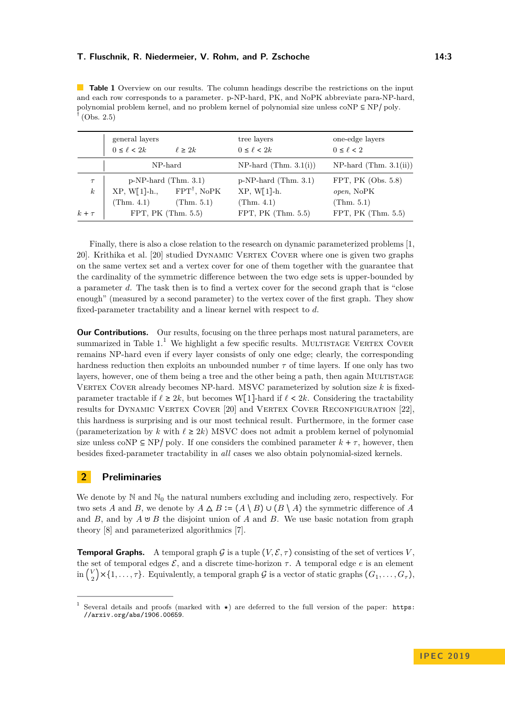<span id="page-2-0"></span>**Table 1** Overview on our results. The column headings describe the restrictions on the input and each row corresponds to a parameter. p-NP-hard, PK, and NoPK abbreviate para-NP-hard, polynomial problem kernel, and no problem kernel of polynomial size unless coNP  $\subseteq$  NP/ poly.  $<sup>†</sup>$  (Obs. [2.5\)](#page-3-0)</sup>

|                            | general layers<br>$0 \leq \ell < 2k$                    | $\ell \geq 2k$                       | tree layers<br>$0 \leq \ell < 2k$                      | one-edge layers<br>$0 \leq \ell < 2$             |  |
|----------------------------|---------------------------------------------------------|--------------------------------------|--------------------------------------------------------|--------------------------------------------------|--|
|                            | NP-hard                                                 |                                      | $NP-hard (Thm. 3.1(i))$                                | $NP-hard (Thm. 3.1(ii))$                         |  |
| $\tau$<br>$\boldsymbol{k}$ | $p-NP$ -hard (Thm. 3.1)<br>$XP, W[1]-h.,$<br>(Thm. 4.1) | $FPT^{\dagger}$ , NoPK<br>(Thm. 5.1) | $p-NP$ -hard (Thm. 3.1)<br>$XP, W[1]-h.$<br>(Thm. 4.1) | FPT, PK $(Obs. 5.8)$<br>open, NoPK<br>(Thm. 5.1) |  |
| $k+\tau$                   | FPT, PK $(Thm. 5.5)$                                    |                                      | FPT, PK $(Thm. 5.5)$                                   | FPT, PK $(Thm. 5.5)$                             |  |

Finally, there is also a close relation to the research on dynamic parameterized problems [\[1,](#page-12-0) [20\]](#page-13-14). Krithika et al. [\[20\]](#page-13-14) studied Dynamic Vertex Cover where one is given two graphs on the same vertex set and a vertex cover for one of them together with the guarantee that the cardinality of the symmetric difference between the two edge sets is upper-bounded by a parameter *d*. The task then is to find a vertex cover for the second graph that is "close enough" (measured by a second parameter) to the vertex cover of the first graph. They show fixed-parameter tractability and a linear kernel with respect to *d*.

**Our Contributions.** Our results, focusing on the three perhaps most natural parameters, are summarized in Table  $1<sup>1</sup>$  $1<sup>1</sup>$  We highlight a few specific results. MULTISTAGE VERTEX COVER remains NP-hard even if every layer consists of only one edge; clearly, the corresponding hardness reduction then exploits an unbounded number *τ* of time layers. If one only has two layers, however, one of them being a tree and the other being a path, then again MULTISTAGE VERTEX COVER already becomes NP-hard. MSVC parameterized by solution size  $k$  is fixedparameter tractable if  $\ell \geq 2k$ , but becomes W[1]-hard if  $\ell < 2k$ . Considering the tractability results for DYNAMIC VERTEX COVER [\[20\]](#page-13-14) and VERTEX COVER RECONFIGURATION [\[22\]](#page-13-12). this hardness is surprising and is our most technical result. Furthermore, in the former case (parameterization by *k* with  $\ell \geq 2k$ ) MSVC does not admit a problem kernel of polynomial size unless coNP  $\subseteq$  NP/ poly. If one considers the combined parameter  $k + \tau$ , however, then besides fixed-parameter tractability in *all* cases we also obtain polynomial-sized kernels.

### **2 Preliminaries**

We denote by  $\mathbb N$  and  $\mathbb N_0$  the natural numbers excluding and including zero, respectively. For two sets *A* and *B*, we denote by  $A \Delta B := (A \setminus B) \cup (B \setminus A)$  the symmetric difference of *A* and *B*, and by *A* ⊎ *B* the disjoint union of *A* and *B*. We use basic notation from graph theory [\[8\]](#page-13-15) and parameterized algorithmics [\[7\]](#page-13-16).

**Temporal Graphs.** A temporal graph G is a tuple  $(V, \mathcal{E}, \tau)$  consisting of the set of vertices V, the set of temporal edges  $\mathcal{E}$ , and a discrete time-horizon  $\tau$ . A temporal edge  $e$  is an element  $\ln\left(\frac{V}{2}\right)$  $\mathcal{Q}^{V}$   $\big(\{1,\ldots,\tau\}$ . Equivalently, a temporal graph  $\mathcal G$  is a vector of static graphs  $(G_1,\ldots,G_\tau)$ ,

<span id="page-2-1"></span><sup>1</sup> Several details and proofs (marked with  $\star$ ) are deferred to the full version of the paper: [https:](https://arxiv.org/abs/1906.00659) [//arxiv.org/abs/1906.00659](https://arxiv.org/abs/1906.00659).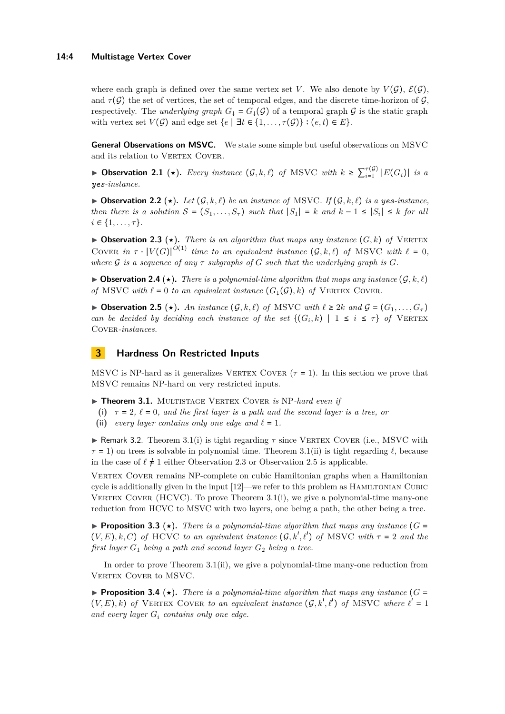#### **14:4 Multistage Vertex Cover**

where each graph is defined over the same vertex set *V*. We also denote by  $V(G)$ ,  $\mathcal{E}(G)$ , and  $\tau(\mathcal{G})$  the set of vertices, the set of temporal edges, and the discrete time-horizon of  $\mathcal{G}$ , respectively. The *underlying graph*  $G_{\downarrow} = G_{\downarrow}(\mathcal{G})$  of a temporal graph  $\mathcal{G}$  is the static graph with vertex set  $V(G)$  and edge set  $\{e \mid \exists t \in \{1, ..., \tau(G)\} : (e, t) \in E\}.$ 

**General Observations on MSVC.** We state some simple but useful observations on MSVC and its relation to VERTEX COVER.

<span id="page-3-3"></span>▶ Observation 2.1 (★). *Every instance*  $(G, k, \ell)$  *of* MSVC *with*  $k \geq \sum_{i=1}^{\tau(G)} |E(G_i)|$  *is a yes-instance.*

▶ Observation 2.2 (★). Let  $(G, k, \ell)$  be an instance of MSVC. If  $(G, k, \ell)$  is a yes-instance, *then there is a solution*  $S = (S_1, \ldots, S_\tau)$  *such that*  $|S_1| = k$  *and*  $k - 1 \leq |S_i| \leq k$  *for all*  $i \in \{1, \ldots, \tau\}.$ 

<span id="page-3-2"></span> $\triangleright$  **Observation 2.3** ( $\star$ ). There is an algorithm that maps any instance (G, k) of VERTEX COVER in  $\tau \cdot |V(G)|^{O(1)}$  time to an equivalent instance  $(G, k, \ell)$  of MSVC with  $\ell = 0$ , *where*  $\mathcal{G}$  *is a sequence of any*  $\tau$  *subgraphs of*  $G$  *such that the underlying graph is*  $G$ *.* 

 $\triangleright$  **Observation 2.4** ( $\star$ ). There is a polynomial-time algorithm that maps any instance  $(\mathcal{G}, k, \ell)$ *of* MSVC *with*  $\ell = 0$  *to an equivalent instance*  $(G_{\ell}(\mathcal{G}), k)$  *of* VERTEX COVER.

<span id="page-3-0"></span>▶ Observation 2.5 (★). An instance  $(G, k, \ell)$  of MSVC with  $\ell \geq 2k$  and  $\mathcal{G} = (G_1, \ldots, G_\tau)$ *can be decided by deciding each instance of the set*  $\{(G_i, k) | 1 \le i \le \tau\}$  of VERTEX COVER-*instances*.

### **3 Hardness On Restricted Inputs**

MSVC is NP-hard as it generalizes VERTEX COVER  $(\tau = 1)$ . In this section we prove that MSVC remains NP-hard on very restricted inputs.

<span id="page-3-1"></span>▶ Theorem 3.1. MULTISTAGE VERTEX COVER *is* NP-hard even if

- (i)  $\tau = 2$ ,  $\ell = 0$ , and the first layer is a path and the second layer is a tree, or
- (ii) *every layer contains only one edge and*  $\ell = 1$ *.*

**I** Remark 3.2. Theorem [3.1\(](#page-3-1)i) is tight regarding  $\tau$  since VERTEX COVER (i.e., MSVC with  $\tau = 1$ ) on trees is solvable in polynomial time. Theorem [3.1\(](#page-3-1)ii) is tight regarding  $\ell$ , because in the case of  $\ell \neq 1$  either Observation [2.3](#page-3-2) or Observation [2.5](#page-3-0) is applicable.

Vertex Cover remains NP-complete on cubic Hamiltonian graphs when a Hamiltonian cycle is additionally given in the input  $[12]$ —we refer to this problem as HAMILTONIAN CUBIC VERTEX COVER  $(HCVC)$ . To prove Theorem [3.1\(](#page-3-1)i), we give a polynomial-time many-one reduction from HCVC to MSVC with two layers, one being a path, the other being a tree.

**Proposition 3.3** ( $\star$ ). There is a polynomial-time algorithm that maps any instance ( $G =$  $(V, E), k, C$ ) *of* HCVC *to an equivalent instance*  $(G, k', \ell')$  *of* MSVC *with*  $\tau = 2$  *and the first layer*  $G_1$  *being a path and second layer*  $G_2$  *being a tree.* 

In order to prove Theorem [3.1\(](#page-3-1)ii), we give a polynomial-time many-one reduction from VERTEX COVER to MSVC.

**Proposition 3.4** ( $\star$ ). There is a polynomial-time algorithm that maps any instance ( $G =$  $(V, E), k$ ) of VERTEX COVER to an equivalent instance  $(G, k', \ell')$  of MSVC where  $\ell' = 1$ *and every layer G<sup>i</sup> contains only one edge.*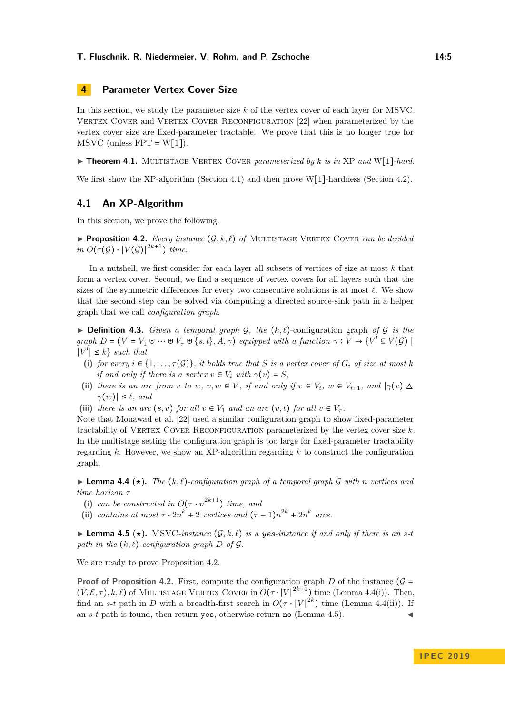### **4 Parameter Vertex Cover Size**

In this section, we study the parameter size *k* of the vertex cover of each layer for MSVC. VERTEX COVER and VERTEX COVER RECONFIGURATION [\[22\]](#page-13-12) when parameterized by the vertex cover size are fixed-parameter tractable. We prove that this is no longer true for  $MSVC$  (unless  $FPT = W[1]$ ).

<span id="page-4-0"></span>▶ **Theorem 4.1.** MULTISTAGE VERTEX COVER *parameterized by k is in* XP *and* W[1]*-hard.* 

We first show the XP-algorithm (Section [4.1\)](#page-4-1) and then prove W[1]-hardness (Section [4.2\)](#page-5-0).

### <span id="page-4-1"></span>**4.1 An XP-Algorithm**

<span id="page-4-2"></span>In this section, we prove the following.

**Proposition 4.2.** *Every instance*  $(G, k, \ell)$  *of* MULTISTAGE VERTEX COVER *can be decided*  $in \ O(\tau(G) \cdot |V(G)|^{2k+1})$  *time.* 

In a nutshell, we first consider for each layer all subsets of vertices of size at most *k* that form a vertex cover. Second, we find a sequence of vertex covers for all layers such that the sizes of the symmetric differences for every two consecutive solutions is at most  $\ell$ . We show that the second step can be solved via computing a directed source-sink path in a helper graph that we call *configuration graph*.

 $\triangleright$  **Definition 4.3.** *Given a temporal graph G*, *the*  $(k, \ell)$ -configuration graph *of G is the*  $graph\ D = (V = V_1 \cup \cdots \cup V_{\tau} \cup \{s,t\}, A, \gamma)$  equipped with a function  $\gamma : V \to \{V' \subseteq V(\mathcal{G}) \mid \tau \in V(\mathcal{G})\}$  $|V'|\leq k$ } *such that* 

- (i) for every  $i \in \{1, \ldots, \tau(\mathcal{G})\}$ , it holds true that S is a vertex cover of  $G_i$  of size at most k *if and only if there is a vertex*  $v \in V_i$  *with*  $\gamma(v) = S$ *,*
- (ii) *there is an arc from v to w*, *v*, *w*  $\in$  *V*, *if and only if*  $v \in V_i$ ,  $w \in V_{i+1}$ , and  $|\gamma(v) \triangle$  $\gamma(w) \leq \ell$ , and
- (iii) *there is an arc*  $(s, v)$  *for all*  $v \in V_1$  *and an arc*  $(v, t)$  *for all*  $v \in V_7$ *.*

Note that Mouawad et al. [\[22\]](#page-13-12) used a similar configuration graph to show fixed-parameter tractability of VERTEX COVER RECONFIGURATION parameterized by the vertex cover size  $k$ . In the multistage setting the configuration graph is too large for fixed-parameter tractability regarding *k*. However, we show an XP-algorithm regarding *k* to construct the configuration graph.

<span id="page-4-3"></span> $\blacktriangleright$  **Lemma 4.4** ( $\star$ ). The  $(k, \ell)$ -configuration graph of a temporal graph G with n vertices and *time horizon τ*

- (i) *can be constructed in*  $O(\tau \cdot n^{2k+1})$  *time, and*
- (ii) *contains at most*  $\tau \cdot 2n^k + 2$  *vertices and*  $(\tau 1)n^{2k} + 2n^k$  *arcs.*

<span id="page-4-4"></span>▶ **Lemma 4.5**  $(\star)$ . MSVC-instance  $(G, k, \ell)$  is a yes-instance if and only if there is an s-t *path in the*  $(k, \ell)$ *-configuration graph*  $D$  *of*  $\mathcal{G}$ *.* 

We are ready to prove Proposition [4.2.](#page-4-2)

**Proof of Proposition [4.2.](#page-4-2)** First, compute the configuration graph *D* of the instance ( $\mathcal{G}$  =  $(V, \mathcal{E}, \tau)$ , k,  $\ell$ ) of MULTISTAGE VERTEX COVER in  $O(\tau \cdot |V|^{2k+1})$  time (Lemma [4.4\(](#page-4-3)i)). Then, find an *s*-*t* path in *D* with a breadth-first search in  $O(\tau \cdot |V|^{2k})$  time (Lemma [4.4\(](#page-4-3)ii)). If an  $s$ - $t$  path is found, then return yes, otherwise return no (Lemma [4.5\)](#page-4-4).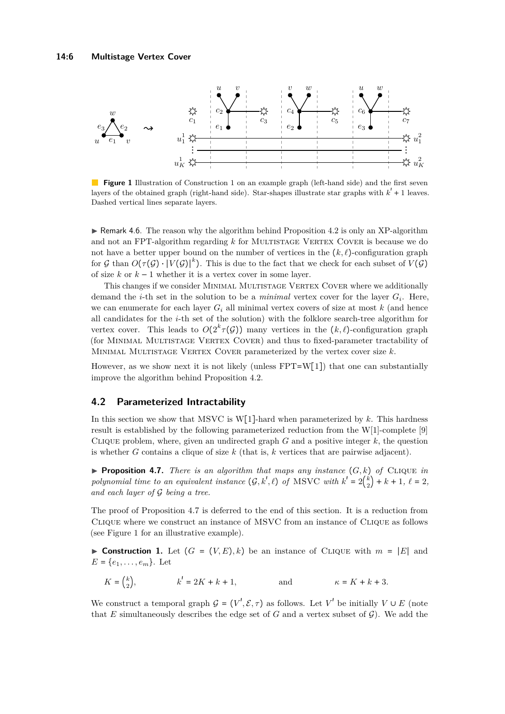<span id="page-5-3"></span>

**Figure [1](#page-5-1)** Illustration of Construction 1 on an example graph (left-hand side) and the first seven layers of the obtained graph (right-hand side). Star-shapes illustrate star graphs with  $k' + 1$  leaves. Dashed vertical lines separate layers.

 $\blacktriangleright$  Remark 4.6. The reason why the algorithm behind Proposition [4.2](#page-4-2) is only an XP-algorithm and not an FPT-algorithm regarding *k* for MULTISTAGE VERTEX COVER is because we do not have a better upper bound on the number of vertices in the  $(k, \ell)$ -configuration graph for  $G$  than  $O(\tau(G) \cdot |V(G)|^k)$ . This is due to the fact that we check for each subset of  $V(G)$ of size  $k$  or  $k-1$  whether it is a vertex cover in some layer.

This changes if we consider Minimal Multistage Vertex Cover where we additionally demand the *i*-th set in the solution to be a *minimal* vertex cover for the layer *G<sup>i</sup>* . Here, we can enumerate for each layer  $G_i$  all minimal vertex covers of size at most  $k$  (and hence all candidates for the *i*-th set of the solution) with the folklore search-tree algorithm for vertex cover. This leads to  $O(2^k \tau(G))$  many vertices in the  $(k, \ell)$ -configuration graph (for Minimal Multistage Vertex Cover) and thus to fixed-parameter tractability of Minimal Multistage Vertex Cover parameterized by the vertex cover size *k*.

However, as we show next it is not likely (unless  $FPT=W[1]$ ) that one can substantially improve the algorithm behind Proposition [4.2.](#page-4-2)

### <span id="page-5-0"></span>**4.2 Parameterized Intractability**

In this section we show that MSVC is W[1]-hard when parameterized by *k*. This hardness result is established by the following parameterized reduction from the W[1]-complete [\[9\]](#page-13-18) CLIQUE problem, where, given an undirected graph  $G$  and a positive integer  $k$ , the question is whether *G* contains a clique of size  $k$  (that is,  $k$  vertices that are pairwise adjacent).

<span id="page-5-2"></span>**Proposition 4.7.** *There is an algorithm that maps any instance*  $(G, k)$  *of* CLIQUE *in polynomial time to an equivalent instance*  $(G, k', \ell)$  *of* MSVC *with*  $k' = 2\binom{k}{2}$  $\binom{k}{2} + k + 1, \ \ell = 2,$ *and each layer of* G *being a tree.*

The proof of Proposition [4.7](#page-5-2) is deferred to the end of this section. It is a reduction from Clique where we construct an instance of MSVC from an instance of Clique as follows (see Figure [1](#page-5-3) for an illustrative example).

<span id="page-5-1"></span>**► Construction 1.** Let  $(G = (V, E), k)$  be an instance of CLIQUE with  $m = |E|$  and  $E = \{e_1, \ldots, e_m\}$ . Let

$$
K = \begin{pmatrix} k \\ 2 \end{pmatrix}, \qquad k' = 2K + k + 1, \qquad \text{and} \qquad \kappa = K + k + 3.
$$

We construct a temporal graph  $G = (V', \mathcal{E}, \tau)$  as follows. Let  $V'$  be initially  $V \cup E$  (note that *E* simultaneously describes the edge set of *G* and a vertex subset of  $\mathcal{G}$ ). We add the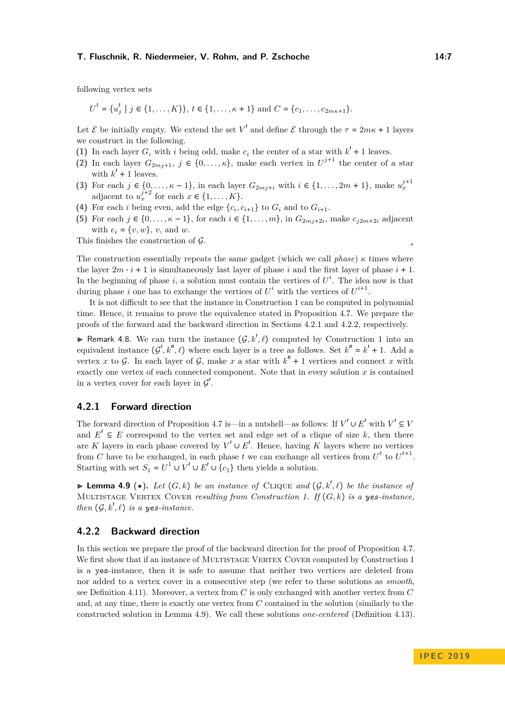following vertex sets

*t*

$$
U^t = \{u_j^t \mid j \in \{1, \ldots, K\}\}, t \in \{1, \ldots, \kappa + 1\} \text{ and } C = \{c_1, \ldots, c_{2m\kappa + 1}\}.
$$

Let  $\mathcal E$  be initially empty. We extend the set  $V'$  and define  $\mathcal E$  through the  $\tau = 2m\kappa + 1$  layers we construct in the following.

- (1) In each layer  $G_i$  with *i* being odd, make  $c_i$  the center of a star with  $k' + 1$  leaves.
- (2) In each layer  $G_{2mj+1}$ ,  $j \in \{0,\ldots,\kappa\}$ , make each vertex in  $U^{j+1}$  the center of a star with  $k' + 1$  leaves.
- **(3)** For each  $j \in \{0, ..., \kappa 1\}$ , in each layer  $G_{2mj+i}$  with  $i \in \{1, ..., 2m + 1\}$ , make  $u_x^{j+1}$ adjacent to  $u_x^{j+2}$  for each  $x \in \{1, \ldots, K\}$ .
- (4) For each *i* being even, add the edge  $\{c_i, c_{i+1}\}\)$  to  $G_i$  and to  $G_{i+1}$ .
- **(5)** For each *j* ∈ {0,..., $\kappa$  − 1}, for each *i* ∈ {1,...,*m*}, in *G*<sub>2*mj*+2*i*</sub>, make *c*<sub>*j*2*m*+2*i*</sub> adjacent with  $e_i = \{v, w\}, v$ , and *w*.

This finishes the construction of  $\mathcal{G}$ .

The construction essentially repeats the same gadget (which we call *phase*)  $\kappa$  times where the layer  $2m \cdot i + 1$  is simultaneously last layer of phase *i* and the first layer of phase  $i + 1$ . In the beginning of phase  $i$ , a solution must contain the vertices of  $U^i$ . The idea now is that during phase *i* one has to exchange the vertices of  $U^i$  with the vertices of  $U^{i+1}$ .

It is not difficult to see that the instance in Construction [1](#page-5-1) can be computed in polynomial time. Hence, it remains to prove the equivalence stated in Proposition [4.7.](#page-5-2) We prepare the proofs of the forward and the backward direction in Sections [4.2.1](#page-6-0) and [4.2.2,](#page-6-1) respectively.

<span id="page-6-3"></span>**F** Remark 4.8. We can turn the instance  $(\mathcal{G}, k', \ell)$  computed by Construction [1](#page-5-1) into an equivalent instance  $(G', k'', \ell)$  where each layer is a tree as follows. Set  $k'' = k' + 1$ . Add a vertex *x* to G. In each layer of G, make *x* a star with  $k'' + 1$  vertices and connect *x* with exactly one vertex of each connected component. Note that in every solution *x* is contained in a vertex cover for each layer in  $\mathcal{G}'$ .

#### <span id="page-6-0"></span>**4.2.1 Forward direction**

The forward direction of Proposition [4.7](#page-5-2) is—in a nutshell—as follows: If  $V' \cup E'$  with  $V' \subseteq V$ and  $E' \subseteq E$  correspond to the vertex set and edge set of a clique of size k, then there are *K* layers in each phase covered by  $V' \cup E'$ . Hence, having *K* layers where no vertices from *C* have to be exchanged, in each phase *t* we can exchange all vertices from  $U^t$  to  $U^{t+1}$ . Starting with set  $S_1 = U^1 \cup V' \cup E' \cup \{c_1\}$  then yields a solution.

<span id="page-6-2"></span>**I Lemma 4.9** ( $\star$ ). Let  $(G, k)$  be an instance of CLIQUE and  $(G, k', \ell)$  be the instance of MULTISTAGE VERTEX COVER *resulting from Construction [1.](#page-5-1) If*  $(G, k)$  *is a ves-instance. then*  $(G, k', \ell)$  *is a yes-instance.* 

#### <span id="page-6-1"></span>**4.2.2 Backward direction**

In this section we prepare the proof of the backward direction for the proof of Proposition [4.7.](#page-5-2) We first show that if an instance of MULTISTAGE VERTEX COVER computed by Construction [1](#page-5-1) is a yes-instance, then it is safe to assume that neither two vertices are deleted from nor added to a vertex cover in a consecutive step (we refer to these solutions as *smooth*, see Definition [4.11\)](#page-7-0). Moreover, a vertex from *C* is only exchanged with another vertex from *C* and, at any time, there is exactly one vertex from *C* contained in the solution (similarly to the constructed solution in Lemma [4.9\)](#page-6-2). We call these solutions *one-centered* (Definition [4.13\)](#page-7-1).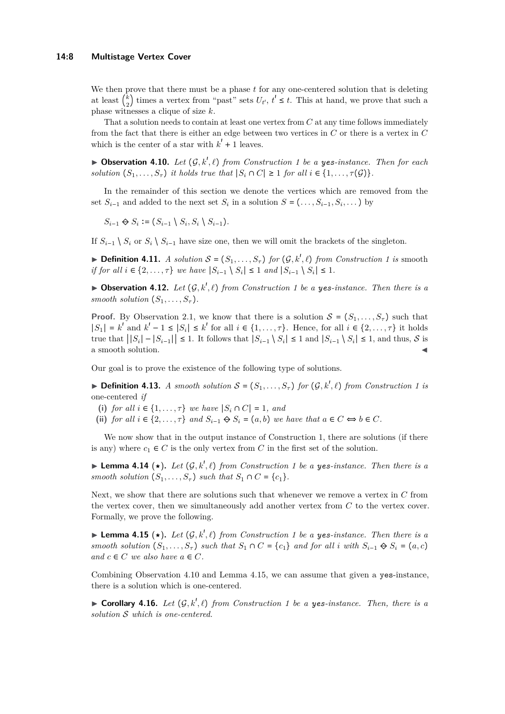#### **14:8 Multistage Vertex Cover**

We then prove that there must be a phase *t* for any one-centered solution that is deleting at least ( *k*  $\frac{1}{2}$  times a vertex from "past" sets  $U_t$ ,  $t' \leq t$ . This at hand, we prove that such a phase witnesses a clique of size *k*.

That a solution needs to contain at least one vertex from *C* at any time follows immediately from the fact that there is either an edge between two vertices in *C* or there is a vertex in *C* which is the center of a star with  $k' + 1$  leaves.

<span id="page-7-2"></span> $\blacktriangleright$  **Observation 4.10.** *Let*  $(G, k', \ell)$  *from Construction [1](#page-5-1) be a yes-instance. Then for each solution*  $(S_1, \ldots, S_{\tau})$  *it holds true that*  $|S_i \cap C| \geq 1$  *for all*  $i \in \{1, \ldots, \tau(G)\}$ *.* 

In the remainder of this section we denote the vertices which are removed from the set  $S_{i-1}$  and added to the next set  $S_i$  in a solution  $S = (\ldots, S_{i-1}, S_i, \ldots)$  by

$$
S_{i-1} \Leftrightarrow S_i := (S_{i-1} \setminus S_i, S_i \setminus S_{i-1}).
$$

If  $S_{i-1} \setminus S_i$  or  $S_i \setminus S_{i-1}$  have size one, then we will omit the brackets of the singleton.

<span id="page-7-0"></span> $\blacktriangleright$  **Definition 4.11.** *A solution*  $S = (S_1, \ldots, S_{\tau})$  *for*  $(\mathcal{G}, k', \ell)$  *from Construction [1](#page-5-1) is* smooth *if for all*  $i \in \{2, \ldots, \tau\}$  *we have*  $|S_{i-1} \setminus S_i| \leq 1$  *and*  $|S_{i-1} \setminus S_i| \leq 1$ .

 $\triangleright$  **Observation 4.12.** Let  $(G, k', \ell)$  from Construction [1](#page-5-1) be a yes-instance. Then there is a *smooth solution*  $(S_1, \ldots, S_{\tau})$ *.* 

**Proof.** By Observation [2.1,](#page-3-3) we know that there is a solution  $S = (S_1, \ldots, S_\tau)$  such that  $|S_1| = k^{\prime}$  and  $k^{\prime} - 1 \leq |S_i| \leq k^{\prime}$  for all  $i \in \{1, ..., \tau\}$ . Hence, for all  $i \in \{2, ..., \tau\}$  it holds true that  $||S_i| - |S_{i-1}|| \le 1$ . It follows that  $|S_{i-1} \setminus S_i| \le 1$  and  $|S_{i-1} \setminus S_i| \le 1$ , and thus, S is a smooth solution.

Our goal is to prove the existence of the following type of solutions.

<span id="page-7-1"></span> $\triangleright$  **Definition 4.13.** *A smooth solution*  $S = (S_1, \ldots, S_{\tau})$  *for*  $(\mathcal{G}, k', \ell)$  *from Construction [1](#page-5-1) is* one-centered *if*

- (i) *for all*  $i \in \{1, \ldots, \tau\}$  *we have*  $|S_i \cap C| = 1$ *, and*
- (ii) *for all*  $i \in \{2, \ldots, \tau\}$  *and*  $S_{i-1} \oplus S_i = (a, b)$  *we have that*  $a \in C \Leftrightarrow b \in C$ *.*

We now show that in the output instance of Construction [1,](#page-5-1) there are solutions (if there is any) where  $c_1 \in C$  is the only vertex from C in the first set of the solution.

**Example [1](#page-5-1).14** ( $\star$ ). Let  $(G, k', \ell)$  from Construction 1 be a yes-instance. Then there is a *smooth solution*  $(S_1, \ldots, S_{\tau})$  *such that*  $S_1 \cap C = \{c_1\}$ *.* 

Next, we show that there are solutions such that whenever we remove a vertex in *C* from the vertex cover, then we simultaneously add another vertex from *C* to the vertex cover. Formally, we prove the following.

<span id="page-7-3"></span>**Example [1](#page-5-1).15** ( $\star$ ). Let  $(G, k', \ell)$  from Construction 1 be a yes-instance. Then there is a *smooth solution*  $(S_1, \ldots, S_{\tau})$  *such that*  $S_1 \cap C = \{c_1\}$  *and for all i with*  $S_{i-1} \oplus S_i = (a, c)$ *and*  $c \in C$  *we also have*  $a \in C$ *.* 

Combining Observation [4.10](#page-7-2) and Lemma [4.15,](#page-7-3) we can assume that given a yes-instance, there is a solution which is one-centered.

<span id="page-7-4"></span>**Corollary 4.16.** *Let*  $(G, k', \ell)$  *from Construction [1](#page-5-1) be a yes-instance. Then, there is a solution* S *which is one-centered.*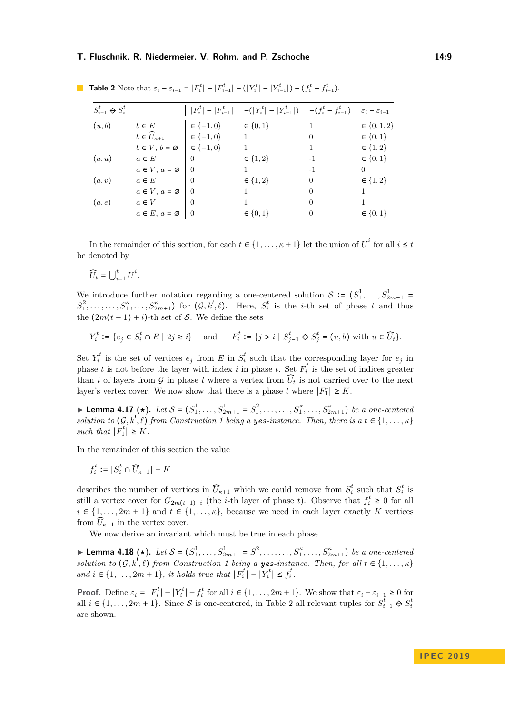| $S_{i-1}^t \Leftrightarrow S_i^t$ |                                | $ F_i^t  -  F_{i-1}^t $ | $-( Y_i^t  -  Y_{i-1}^t ) - (f_i^t - f_{i-1}^t)  \varepsilon_i - \varepsilon_{i-1}$ |                |                   |
|-----------------------------------|--------------------------------|-------------------------|-------------------------------------------------------------------------------------|----------------|-------------------|
| (u,b)                             | $b \in E$                      | $\in \{-1,0\}$          | $\in \{0, 1\}$                                                                      | 1              | $\in \{0, 1, 2\}$ |
|                                   | $b \in \widehat{U}_{\kappa+1}$ | $\in \{-1,0\}$          |                                                                                     | $\overline{0}$ | $\in \{0, 1\}$    |
|                                   | $b \in V, b = \emptyset$       | $\in \{-1,0\}$          |                                                                                     | 1              | $\in \{1, 2\}$    |
| (a, u)                            | $a \in E$                      | $\theta$                | $\in \{1, 2\}$                                                                      | $-1$           | $\in \{0, 1\}$    |
|                                   | $a \in V$ , $a = \emptyset$    | $\Omega$                |                                                                                     | $-1$           | 0                 |
| (a, v)                            | $a \in E$                      | $\Omega$                | $\in \{1, 2\}$                                                                      | 0              | $\in \{1, 2\}$    |
|                                   | $a \in V$ , $a = \emptyset$    | $\Omega$                |                                                                                     | $\overline{0}$ |                   |
| (a,e)                             | $a \in V$                      | $\Omega$                |                                                                                     | $\Omega$       |                   |
|                                   | $a \in E$ , $a = \emptyset$    | $\theta$                | $\in \{0, 1\}$                                                                      | $\overline{0}$ | $\in \{0, 1\}$    |

<span id="page-8-0"></span>**Table 2** Note that  $\varepsilon_i - \varepsilon_{i-1} = |F_i^t| - |F_{i-1}^t| - (|Y_i^t| - |Y_{i-1}^t|) - (f_i^t - f_{i-1}^t)$ .

In the remainder of this section, for each  $t \in \{1, \ldots, \kappa + 1\}$  let the union of  $U^i$  for all  $i \leq t$ be denoted by

$$
\widehat{U}_t = \bigcup_{i=1}^t U^i.
$$

We introduce further notation regarding a one-centered solution  $S := (S_1^1, \ldots, S_{2m+1}^1 =$  $S_1^2, \ldots, S_1^{\kappa}, \ldots, S_{2m+1}^{\kappa}$  for  $(\mathcal{G}, k', \ell)$ . Here,  $S_i^t$  is the *i*-th set of phase *t* and thus the  $(2m(t-1) + i)$ -th set of S. We define the sets

$$
Y_i^t := \{ e_j \in S_i^t \cap E \mid 2j \ge i \} \quad \text{and} \quad F_i^t := \{ j > i \mid S_{j-1}^t \Leftrightarrow S_j^t = (u, b) \text{ with } u \in \widehat{U}_t \}.
$$

Set  $Y_i^t$  is the set of vertices  $e_j$  from *E* in  $S_i^t$  such that the corresponding layer for  $e_j$  in phase *t* is not before the layer with index *i* in phase *t*. Set  $F_i^t$  is the set of indices greater than *i* of layers from  $G$  in phase *t* where a vertex from  $\widehat{U}_t$  is not carried over to the next layer's vertex cover. We now show that there is a phase *t* where  $|F_1^t| \ge K$ .

<span id="page-8-2"></span>► **Lemma 4.17** (★). Let  $S = (S_1^1, \ldots, S_{2m+1}^1 = S_1^2, \ldots, \ldots, S_1^{\kappa}, \ldots, S_{2m+1}^{\kappa})$  be a one-centered *solution to*  $(G, k', \ell)$  *from Construction [1](#page-5-1) being a yes-instance. Then, there is a*  $t \in \{1, \ldots, \kappa\}$ *such that*  $|F_1^t| \geq K$ *.* 

In the remainder of this section the value

$$
f_i^t := |S_i^t \cap \widehat{U}_{\kappa+1}| - K
$$

describes the number of vertices in  $\widehat{U}_{\kappa+1}$  which we could remove from  $S_i^t$  such that  $S_i^t$  is still a vertex cover for  $G_{2m(t-1)+i}$  (the *i*-th layer of phase *t*). Observe that  $f_i^t \geq 0$  for all  $i \in \{1, \ldots, 2m + 1\}$  and  $t \in \{1, \ldots, \kappa\}$ , because we need in each layer exactly *K* vertices from  $\widehat{U}_{\kappa+1}$  in the vertex cover.

We now derive an invariant which must be true in each phase.

<span id="page-8-1"></span>► **Lemma 4.18** (★). Let  $S = (S_1^1, \ldots, S_{2m+1}^1 = S_1^2, \ldots, \ldots, S_1^{\kappa}, \ldots, S_{2m+1}^{\kappa})$  be a one-centered *solution to*  $(G, k^{\prime}, \ell)$  *from Construction [1](#page-5-1) being a yes-instance. Then, for all*  $t \in \{1, \ldots, \kappa\}$ *and*  $i \in \{1, ..., 2m + 1\}$ , *it holds true that*  $|F_i^t| - |Y_i^t| \leq f_i^t$ .

**Proof.** Define  $\varepsilon_i = |F_i^t| - |Y_i^t| - f_i^t$  for all  $i \in \{1, ..., 2m+1\}$ . We show that  $\varepsilon_i - \varepsilon_{i-1} \ge 0$  for all  $i \in \{1, \ldots, 2m + 1\}$  $i \in \{1, \ldots, 2m + 1\}$  $i \in \{1, \ldots, 2m + 1\}$ . Since S is one-centered, in Table 2 all relevant tuples for  $S_{i-1}^t \Leftrightarrow S_i^t$ are shown.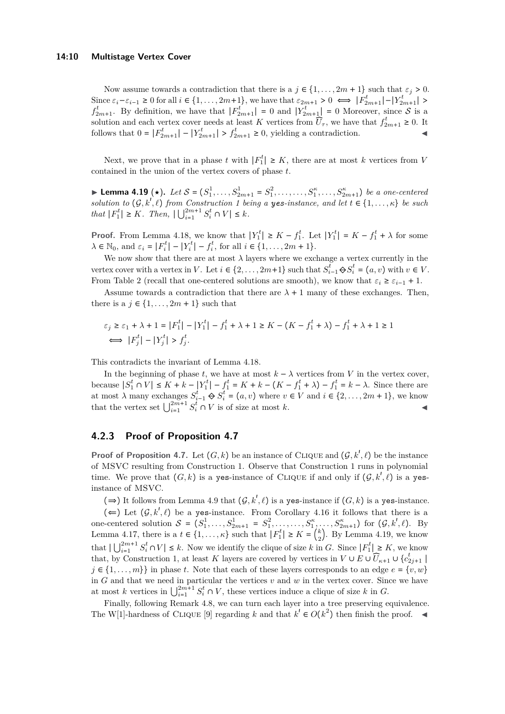Now assume towards a contradiction that there is a  $j \in \{1, \ldots, 2m + 1\}$  such that  $\varepsilon_j > 0$ . Since  $\varepsilon_i - \varepsilon_{i-1} \geq 0$  for all  $i \in \{1, ..., 2m+1\}$ , we have that  $\varepsilon_{2m+1} > 0 \iff |F_{2m+1}^t| - |Y_{2m+1}^t| >$  $f_{2m+1}^t$ . By definition, we have that  $|F_{2m+1}^t| = 0$  and  $|Y_{2m+1}^t| = 0$  Moreover, since S is a solution and each vertex cover needs at least *K* vertices from  $\widehat{U}_{\tau}$ , we have that  $f_{2m+1}^t \geq 0$ . It follows that  $0 = |F_{2m+1}^t| - |Y_{2m+1}^t| > f_{2m+1}^t \ge 0$ , yielding a contradiction.

Next, we prove that in a phase *t* with  $|F_1^t| \geq K$ , there are at most *k* vertices from *V* contained in the union of the vertex covers of phase *t*.

<span id="page-9-0"></span>► **Lemma 4.19** (★). Let  $S = (S_1^1, \ldots, S_{2m+1}^1 = S_1^2, \ldots, \ldots, S_1^{\kappa}, \ldots, S_{2m+1}^{\kappa})$  be a one-centered *solution to*  $(G, k', \ell)$  *from Construction [1](#page-5-1) being a yes-instance, and let*  $t \in \{1, \ldots, \kappa\}$  *be such*  $that |F_1^t| \geq K$ *. Then,*  $|\bigcup_{i=1}^{2m+1} S_i^t \cap V| \leq k$ *.* 

**Proof.** From Lemma [4.18,](#page-8-1) we know that  $|Y_1^t| \ge K - f_1^t$ . Let  $|Y_1^t| = K - f_1^t + \lambda$  for some  $\lambda \in \mathbb{N}_0$ , and  $\varepsilon_i = |F_i^t| - |Y_i^t| - f_i^t$ , for all  $i \in \{1, ..., 2m + 1\}$ .

We now show that there are at most  $\lambda$  layers where we exchange a vertex currently in the vertex cover with a vertex in *V*. Let  $i \in \{2, ..., 2m+1\}$  such that  $S_{i-1}^t \oplus S_i^t = (a, v)$  with  $v \in V$ . From Table [2](#page-8-0) (recall that one-centered solutions are smooth), we know that  $\varepsilon_i \geq \varepsilon_{i-1} + 1$ .

Assume towards a contradiction that there are  $\lambda + 1$  many of these exchanges. Then, there is a  $j \in \{1, \ldots, 2m+1\}$  such that

$$
\varepsilon_j \ge \varepsilon_1 + \lambda + 1 = |F_1^t| - |Y_1^t| - f_1^t + \lambda + 1 \ge K - (K - f_1^t + \lambda) - f_1^t + \lambda + 1 \ge 1
$$
  

$$
\iff |F_j^t| - |Y_j^t| > f_j^t.
$$

This contradicts the invariant of Lemma [4.18.](#page-8-1)

In the beginning of phase *t*, we have at most  $k - \lambda$  vertices from *V* in the vertex cover, because  $|S_1^t \cap V| \le K + k - |Y_1^t| - f_1^t = K + k - (K - f_1^t + \lambda) - f_1^t = k - \lambda$ . Since there are at most  $\lambda$  many exchanges  $S_{i-1}^t \Leftrightarrow S_i^t = (a, v)$  where  $v \in V$  and  $i \in \{2, ..., 2m + 1\}$ , we know that the vertex set  $\bigcup_{i=1}^{2m+1} S_i^i \cap V$  is of size at most *k*.

### **4.2.3 Proof of Proposition [4.7](#page-5-2)**

**Proof of Proposition [4.7.](#page-5-2)** Let  $(G, k)$  be an instance of CLIQUE and  $(G, k', \ell)$  be the instance of MSVC resulting from Construction [1.](#page-5-1) Observe that Construction [1](#page-5-1) runs in polynomial time. We prove that  $(G, k)$  is a yes-instance of CLIQUE if and only if  $(G, k', \ell)$  is a yesinstance of MSVC.

(⇒) It follows from Lemma [4.9](#page-6-2) that  $(G, k', \ell)$  is a yes-instance if  $(G, k)$  is a yes-instance.

(←) Let  $(G, k', \ell)$  be a yes-instance. From Corollary [4.16](#page-7-4) it follows that there is a one-centered solution  $S = (S_1^1, \ldots, S_{2m+1}^1 = S_1^2, \ldots, S_{1}^{\kappa}, \ldots, S_{2m+1}^{\kappa})$  for  $(\mathcal{G}, k', \ell)$ . By Lemma [4.17,](#page-8-2) there is a  $t \in \{1, \ldots, \kappa\}$  such that  $|F_1^t| \ge K = \binom{k}{2}$  $_{2}^{k}$ ). By Lemma [4.19,](#page-9-0) we know that  $|\bigcup_{i=1}^{2m+1} S_i^t \cap V| \leq k$ . Now we identify the clique of size k in *G*. Since  $|F_1^t| \geq K$ , we know that, by Construction [1,](#page-5-1) at least *K* layers are covered by vertices in  $V \cup E \cup \overline{U}_{\kappa+1} \cup \{c_{2j+1}^t \mid \overline{U}_{\kappa+1} \cup \overline{U}_{\kappa+1} \cup \overline{U}_{\kappa+1} \cup \overline{U}_{\kappa+1} \}$  $j \in \{1, \ldots, m\}$  in phase *t*. Note that each of these layers corresponds to an edge  $e = \{v, w\}$ in  $G$  and that we need in particular the vertices  $v$  and  $w$  in the vertex cover. Since we have at most *k* vertices in  $\bigcup_{i=1}^{2m+1} S_i^t \cap V$ , these vertices induce a clique of size *k* in *G*.

Finally, following Remark [4.8,](#page-6-3) we can turn each layer into a tree preserving equivalence. The W[1]-hardness of CLIQUE [\[9\]](#page-13-18) regarding *k* and that  $k' \in O(k^2)$  then finish the proof.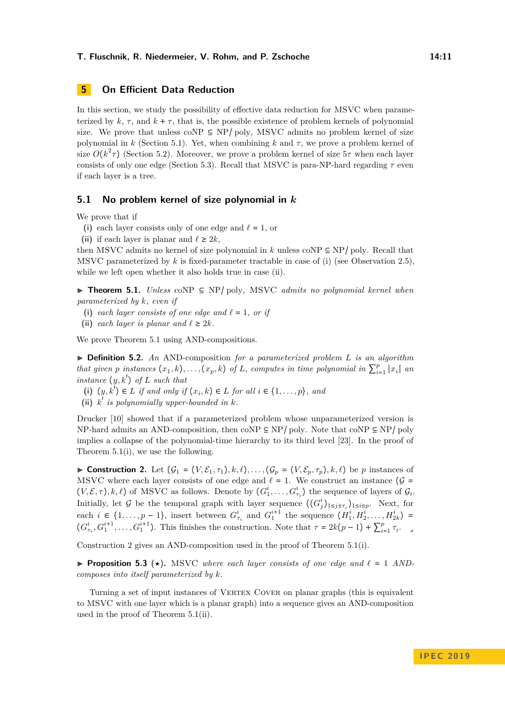### **5 On Efficient Data Reduction**

In this section, we study the possibility of effective data reduction for MSVC when parameterized by  $k, \tau$ , and  $k + \tau$ , that is, the possible existence of problem kernels of polynomial size. We prove that unless coNP  $\subseteq$  NP/ poly, MSVC admits no problem kernel of size polynomial in  $k$  (Section [5.1\)](#page-10-1). Yet, when combining  $k$  and  $\tau$ , we prove a problem kernel of size  $O(k^2\tau)$  (Section [5.2\)](#page-11-1). Moreover, we prove a problem kernel of size  $5\tau$  when each layer consists of only one edge (Section [5.3\)](#page-12-3). Recall that MSVC is para-NP-hard regarding *τ* even if each layer is a tree.

#### <span id="page-10-1"></span>**5.1 No problem kernel of size polynomial in** *k*

We prove that if

- (i) each layer consists only of one edge and  $\ell = 1$ , or
- (ii) if each layer is planar and  $\ell \geq 2k$ ,

then MSVC admits no kernel of size polynomial in *k* unless coNP  $\subseteq$  NP/ poly. Recall that MSVC parameterized by *k* is fixed-parameter tractable in case of (i) (see Observation [2.5\)](#page-3-0), while we left open whether it also holds true in case (ii).

<span id="page-10-0"></span>I **Theorem 5.1.** *Unless* coNP ⊆ NP/ poly*,* MSVC *admits no polynomial kernel when parameterized by k, even if*

- (i) *each layer consists of one edge and*  $\ell = 1$ *, or if*
- (ii) *each layer is planar and*  $\ell \geq 2k$ *.*

We prove Theorem [5.1](#page-10-0) using AND-compositions.

I **Definition 5.2.** *An* AND-composition *for a parameterized problem L is an algorithm that given p instances*  $(x_1, k), \ldots, (x_p, k)$  *of L, computes in time polynomial in*  $\sum_{i=1}^p |x_i|$  *an instance*  $(y, k')$  *of L such that* 

- (i)  $(y, k')$  ∈ *L if and only if*  $(x_i, k)$  ∈ *L for all*  $i \in \{1, \ldots, p\}$ *, and*
- (ii)  $k^{\dagger}$  *is polynomially upper-bounded in*  $k$ *.*

Drucker [\[10\]](#page-13-19) showed that if a parameterized problem whose unparameterized version is NP-hard admits an AND-composition, then coNP  $\subseteq$  NP/ poly. Note that coNP  $\subseteq$  NP/ poly implies a collapse of the polynomial-time hierarchy to its third level [\[23\]](#page-13-20). In the proof of Theorem [5.1\(](#page-10-0)i), we use the following.

<span id="page-10-2"></span>**Construction 2.** Let  $(G_1 = (V, \mathcal{E}_1, \tau_1), k, \ell), \ldots, (G_p = (V, \mathcal{E}_p, \tau_p), k, \ell)$  be *p* instances of MSVC where each layer consists of one edge and  $\ell = 1$ . We construct an instance ( $\mathcal{G} =$  $(V, \mathcal{E}, \tau)$ , k,  $\ell$ ) of MSVC as follows. Denote by  $(G_1^i, \ldots, G_{\tau_i}^i)$  the sequence of layers of  $\mathcal{G}_i$ . Initially, let G be the temporal graph with layer sequence  $((G_j^i)_{1 \leq j \leq \tau_i})_{1 \leq i \leq p}$ . Next, for each *i* ∈ {1,..., *p* − 1}, insert between  $G_{\tau_i}^i$  and  $G_1^{i+1}$  the sequence  $(H_1^i, H_2^i, \ldots, H_{2k}^i)$  =  $(G_{\tau_i}^i, G_1^{i+1}, \ldots, G_1^{i+1})$ . This finishes the construction. Note that  $\tau = 2k(p-1) + \sum_{i=1}^p \tau_i$ .

<span id="page-10-3"></span>Construction [2](#page-10-2) gives an AND-composition used in the proof of Theorem [5.1\(](#page-10-0)i).

**Proposition 5.3** ( $\star$ ). MSVC where each layer consists of one edge and  $\ell = 1$  AND*composes into itself parameterized by k.*

<span id="page-10-4"></span>Turning a set of input instances of VERTEX COVER on planar graphs (this is equivalent to MSVC with one layer which is a planar graph) into a sequence gives an AND-composition used in the proof of Theorem [5.1\(](#page-10-0)ii).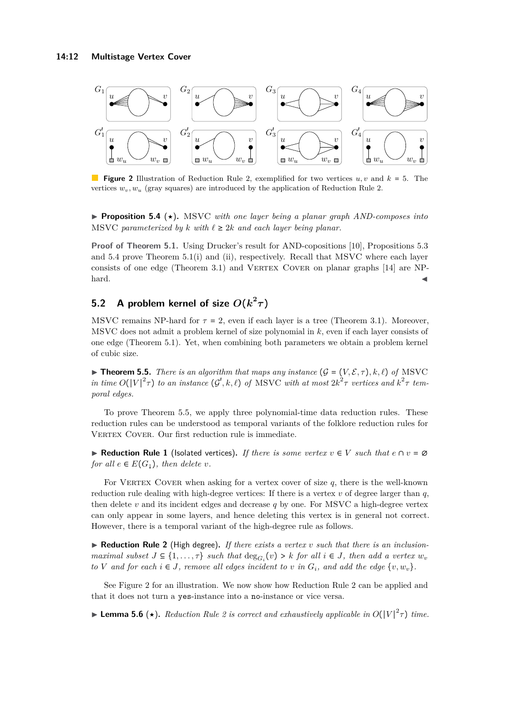<span id="page-11-3"></span>

**Figure 2** Illustration of Reduction Rule [2,](#page-11-2) exemplified for two vertices *u, v* and *k* = 5. The vertices  $w_v, w_u$  (gray squares) are introduced by the application of Reduction Rule [2.](#page-11-2)

**► Proposition 5.4 (★).** MSVC *with one layer being a planar graph AND-composes into* MSVC parameterized by  $k$  with  $\ell \geq 2k$  and each layer being planar.

Proof of Theorem [5.1.](#page-10-0) Using Drucker's result for AND-copositions [\[10\]](#page-13-19), Propositions [5.3](#page-10-3) and [5.4](#page-10-4) prove Theorem [5.1\(](#page-10-0)i) and (ii), respectively. Recall that MSVC where each layer consists of one edge (Theorem [3.1\)](#page-3-1) and VERTEX COVER on planar graphs  $[14]$  are NP $h$ ard.

## <span id="page-11-1"></span>**5.2** A problem kernel of size  $O(k^2\tau)$

MSVC remains NP-hard for  $\tau = 2$ , even if each layer is a tree (Theorem [3.1\)](#page-3-1). Moreover, MSVC does not admit a problem kernel of size polynomial in *k*, even if each layer consists of one edge (Theorem [5.1\)](#page-10-0). Yet, when combining both parameters we obtain a problem kernel of cubic size.

<span id="page-11-0"></span> $\blacktriangleright$  **Theorem 5.5.** *There is an algorithm that maps any instance*  $(G = (V, \mathcal{E}, \tau), k, \ell)$  *of* MSVC *in time*  $O(|V|^2\tau)$  *to an instance*  $(G', k, \ell)$  *of* MSVC *with at most*  $2k^2\tau$  *vertices and*  $k^2\tau$  *temporal edges.*

To prove Theorem [5.5,](#page-11-0) we apply three polynomial-time data reduction rules. These reduction rules can be understood as temporal variants of the folklore reduction rules for VERTEX COVER. Our first reduction rule is immediate.

<span id="page-11-4"></span>▶ **Reduction Rule 1** (Isolated vertices). If there is some vertex  $v \in V$  such that  $e \cap v = ∅$ *for all*  $e \in E(G_1)$ *, then delete v.* 

For VERTEX COVER when asking for a vertex cover of size  $q$ , there is the well-known reduction rule dealing with high-degree vertices: If there is a vertex  $v$  of degree larger than  $q$ , then delete  $v$  and its incident edges and decrease  $q$  by one. For MSVC a high-degree vertex can only appear in some layers, and hence deleting this vertex is in general not correct. However, there is a temporal variant of the high-degree rule as follows.

<span id="page-11-2"></span> $\blacktriangleright$  **Reduction Rule 2** (High degree). If there exists a vertex *v* such that there is an inclusion*maximal subset*  $J \subseteq \{1, \ldots, \tau\}$  *such that*  $\deg_{G_i}(v) > k$  *for all*  $i \in J$ *, then add a vertex*  $w_v$ *to V* and for each  $i \in J$ , remove all edges incident to *v* in  $G_i$ , and add the edge  $\{v, w_v\}$ .

See Figure [2](#page-11-3) for an illustration. We now show how Reduction Rule [2](#page-11-2) can be applied and that it does not turn a yes-instance into a no-instance or vice versa.

**Example 5.6** ( $\star$ ). *Reduction Rule [2](#page-11-2) is correct and exhaustively applicable in*  $O(|V|^2 \tau)$  *time.*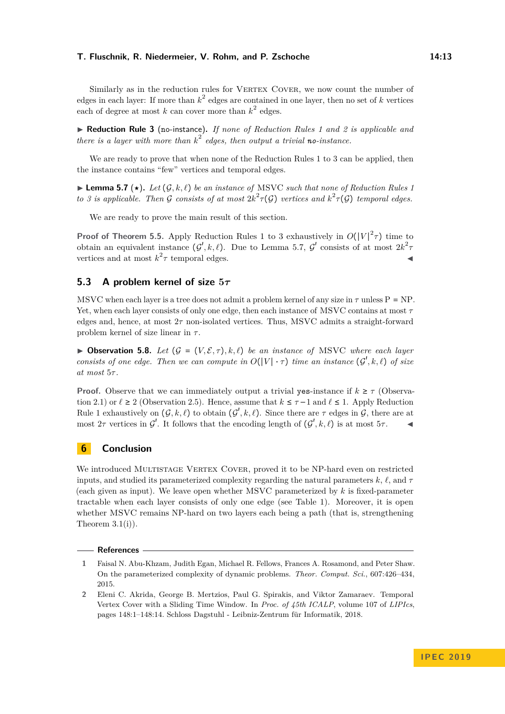Similarly as in the reduction rules for VERTEX COVER, we now count the number of edges in each layer: If more than  $k^2$  edges are contained in one layer, then no set of  $k$  vertices each of degree at most  $k$  can cover more than  $k^2$  edges.

<span id="page-12-4"></span>I **Reduction Rule 3** (no-instance)**.** *If none of Reduction Rules [1](#page-11-4) and [2](#page-11-2) is applicable and there is a layer with more than k* 2 *edges, then output a trivial no-instance.*

We are ready to prove that when none of the Reduction Rules [1](#page-11-4) to [3](#page-12-4) can be applied, then the instance contains "few" vertices and temporal edges.

<span id="page-12-5"></span> $\blacktriangleright$  **Lemma 5.7** ( $\star$ ). Let  $(G, k, \ell)$  be an instance of MSVC such that none of Reduction Rules [1](#page-11-4) *to 3 is applicable. Then G consists of at most*  $2k^2 \tau(G)$  *vertices and*  $k^2 \tau(G)$  *temporal edges.* 

We are ready to prove the main result of this section.

**Proof of Theorem [5.5.](#page-11-0)** Apply Reduction Rules [1](#page-11-4) to [3](#page-12-4) exhaustively in  $O(|V|^2 \tau)$  time to obtain an equivalent instance  $(G', k, \ell)$ . Due to Lemma [5.7,](#page-12-5)  $G'$  consists of at most  $2k^2\tau$ vertices and at most  $k^2 \tau$  temporal edges.

### <span id="page-12-3"></span>**5.3 A problem kernel of size 5***τ*

MSVC when each layer is a tree does not admit a problem kernel of any size in  $\tau$  unless P = NP. Yet, when each layer consists of only one edge, then each instance of MSVC contains at most *τ* edges and, hence, at most 2*τ* non-isolated vertices. Thus, MSVC admits a straight-forward problem kernel of size linear in *τ* .

<span id="page-12-2"></span> $\triangleright$  **Observation 5.8.** *Let* ( $\mathcal{G} = (V, \mathcal{E}, \tau), k, \ell$ ) *be an instance of* MSVC *where each layer consists of one edge. Then we can compute in*  $O(|V| \cdot \tau)$  *time an instance*  $(G', k, \ell)$  *of size at most* 5*τ .*

**Proof.** Observe that we can immediately output a trivial yes-instance if  $k \geq \tau$  (Observa-tion [2.1\)](#page-3-3) or  $\ell \ge 2$  (Observation [2.5\)](#page-3-0). Hence, assume that  $k \le \tau - 1$  and  $\ell \le 1$ . Apply Reduction Rule [1](#page-11-4) exhaustively on  $(G, k, \ell)$  to obtain  $(G', k, \ell)$ . Since there are  $\tau$  edges in  $\mathcal{G}$ , there are at most  $2\tau$  vertices in  $\mathcal{G}'$ . It follows that the encoding length of  $(\mathcal{G}', k, \ell)$  is at most  $5\tau$ .

### **6 Conclusion**

We introduced MULTISTAGE VERTEX COVER, proved it to be NP-hard even on restricted inputs, and studied its parameterized complexity regarding the natural parameters  $k, \ell$ , and  $\tau$ (each given as input). We leave open whether MSVC parameterized by *k* is fixed-parameter tractable when each layer consists of only one edge (see Table [1\)](#page-2-0). Moreover, it is open whether MSVC remains NP-hard on two layers each being a path (that is, strengthening Theorem  $3.1(i)$ ).

#### **References**

<span id="page-12-0"></span>**<sup>1</sup>** Faisal N. Abu-Khzam, Judith Egan, Michael R. Fellows, Frances A. Rosamond, and Peter Shaw. On the parameterized complexity of dynamic problems. *Theor. Comput. Sci.*, 607:426–434, 2015.

<span id="page-12-1"></span>**<sup>2</sup>** Eleni C. Akrida, George B. Mertzios, Paul G. Spirakis, and Viktor Zamaraev. Temporal Vertex Cover with a Sliding Time Window. In *Proc. of 45th ICALP*, volume 107 of *LIPIcs*, pages 148:1–148:14. Schloss Dagstuhl - Leibniz-Zentrum für Informatik, 2018.